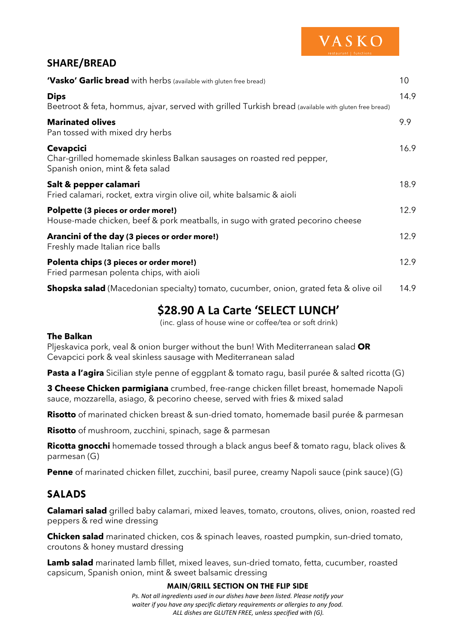

# **SHARE/BREAD**

| 'Vasko' Garlic bread with herbs (available with gluten free bread)                                                            | 10   |
|-------------------------------------------------------------------------------------------------------------------------------|------|
| <b>Dips</b><br>Beetroot & feta, hommus, ajvar, served with grilled Turkish bread (available with gluten free bread)           | 14.9 |
| <b>Marinated olives</b><br>Pan tossed with mixed dry herbs                                                                    | 9.9  |
| <b>Cevapcici</b><br>Char-grilled homemade skinless Balkan sausages on roasted red pepper,<br>Spanish onion, mint & feta salad | 16.9 |
| Salt & pepper calamari<br>Fried calamari, rocket, extra virgin olive oil, white balsamic & aioli                              | 18.9 |
| Polpette (3 pieces or order more!)<br>House-made chicken, beef & pork meatballs, in sugo with grated pecorino cheese          | 12.9 |
| Arancini of the day (3 pieces or order more!)<br>Freshly made Italian rice balls                                              | 12.9 |
| Polenta chips (3 pieces or order more!)<br>Fried parmesan polenta chips, with aioli                                           | 12.9 |
| <b>Shopska salad</b> (Macedonian specialty) tomato, cucumber, onion, grated feta & olive oil                                  | 14.9 |

# **\$28.90 A La Carte 'SELECT LUNCH'**

(inc. glass of house wine or coffee/tea or soft drink)

### **The Balkan**

Pljeskavica pork, veal & onion burger without the bun! With Mediterranean salad **OR** Cevapcici pork & veal skinless sausage with Mediterranean salad

**Pasta a l'agira** Sicilian style penne of eggplant & tomato ragu, basil purée & salted ricotta (G)

**3 Cheese Chicken parmigiana** crumbed, free-range chicken fillet breast, homemade Napoli sauce, mozzarella, asiago, & pecorino cheese, served with fries & mixed salad

**Risotto** of marinated chicken breast & sun-dried tomato, homemade basil purée & parmesan

**Risotto** of mushroom, zucchini, spinach, sage & parmesan

**Ricotta gnocchi** homemade tossed through a black angus beef & tomato ragu, black olives & parmesan (G)

**Penne** of marinated chicken fillet, zucchini, basil puree, creamy Napoli sauce (pink sauce) (G)

# **SALADS**

**Calamari salad** grilled baby calamari, mixed leaves, tomato, croutons, olives, onion, roasted red peppers & red wine dressing

**Chicken salad** marinated chicken, cos & spinach leaves, roasted pumpkin, sun-dried tomato, croutons & honey mustard dressing

**Lamb salad** marinated lamb fillet, mixed leaves, sun-dried tomato, fetta, cucumber, roasted capsicum, Spanish onion, mint & sweet balsamic dressing

#### **MAIN/GRILL SECTION ON THE FLIP SIDE**

*Ps. Not all ingredients used in our dishes have been listed. Please notify your waiter if you have any specific dietary requirements or allergies to any food. ALL dishes are GLUTEN FREE, unless specified with (G).*